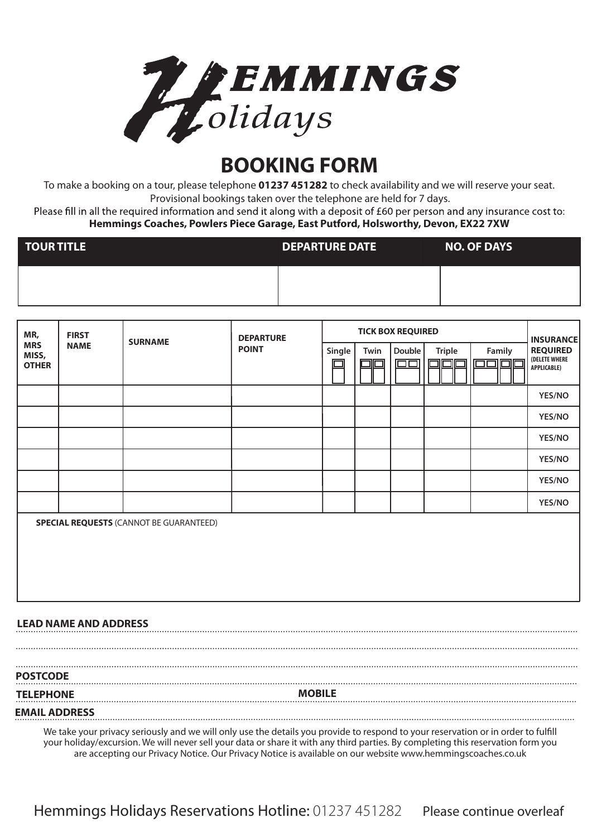

## **BOOKING FORM**

To make a booking on a tour, please telephone **01237 451282** to check availability and we will reserve your seat. Provisional bookings taken over the telephone are held for 7 days.

Please fill in all the required information and send it along with a deposit of £60 per person and any insurance cost to: **Hemmings Coaches, Powlers Piece Garage, East Putford, Holsworthy, Devon, EX22 7XW**

| TOUR TITLE | <b>DEPARTURE DATE</b> | <b>NO. OF DAYS</b> |
|------------|-----------------------|--------------------|
|            |                       |                    |

| MR,                                 | <b>FIRST</b><br><b>NAME</b>  | <b>SURNAME</b>                                 | <b>DEPARTURE</b><br><b>POINT</b> | <b>TICK BOX REQUIRED</b> |      |                  |               |                                       | <b>INSURANCE</b>                                       |
|-------------------------------------|------------------------------|------------------------------------------------|----------------------------------|--------------------------|------|------------------|---------------|---------------------------------------|--------------------------------------------------------|
| <b>MRS</b><br>MISS,<br><b>OTHER</b> |                              |                                                |                                  | Single                   | Twin | Double<br>$\Box$ | <b>Triple</b> | Family<br>$\square \square$<br>回<br>□ | <b>REQUIRED</b><br>(DELETE WHERE<br><b>APPLICABLE)</b> |
|                                     |                              |                                                |                                  |                          |      |                  |               |                                       | YES/NO                                                 |
|                                     |                              |                                                |                                  |                          |      |                  |               |                                       | YES/NO                                                 |
|                                     |                              |                                                |                                  |                          |      |                  |               |                                       | YES/NO                                                 |
|                                     |                              |                                                |                                  |                          |      |                  |               |                                       | YES/NO                                                 |
|                                     |                              |                                                |                                  |                          |      |                  |               |                                       | YES/NO                                                 |
|                                     |                              |                                                |                                  |                          |      |                  |               |                                       | YES/NO                                                 |
|                                     |                              | <b>SPECIAL REQUESTS (CANNOT BE GUARANTEED)</b> |                                  |                          |      |                  |               |                                       |                                                        |
|                                     | <b>LEAD NAME AND ADDRESS</b> |                                                |                                  |                          |      |                  |               |                                       |                                                        |

**POSTCODE TELEPHONE MOBILE EMAIL ADDRESS**

We take your privacy seriously and we will only use the details you provide to respond to your reservation or in order to fulfill your holiday/excursion. We will never sell your data or share it with any third parties. By completing this reservation form you are accepting our Privacy Notice. Our Privacy Notice is available on our website www.hemmingscoaches.co.uk